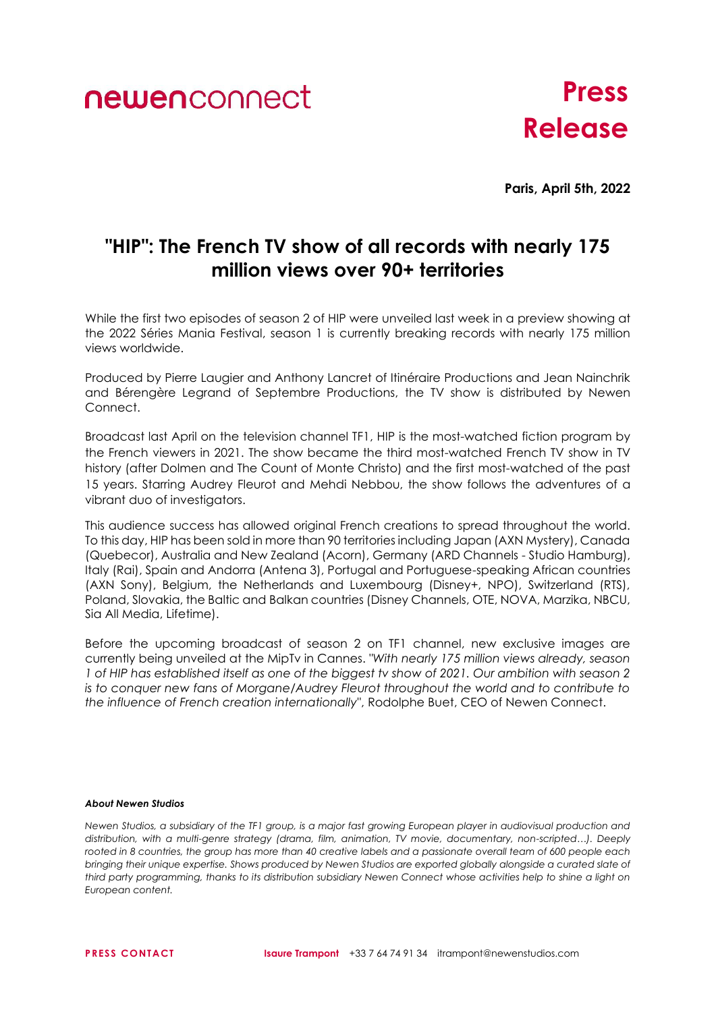## newenconnect

# **Press Release**

**Paris, April 5th, 2022**

### **"HIP": The French TV show of all records with nearly 175 million views over 90+ territories**

While the first two episodes of season 2 of HIP were unveiled last week in a preview showing at the 2022 Séries Mania Festival, season 1 is currently breaking records with nearly 175 million views worldwide.

Produced by Pierre Laugier and Anthony Lancret of Itinéraire Productions and Jean Nainchrik and Bérengère Legrand of Septembre Productions, the TV show is distributed by Newen Connect.

Broadcast last April on the television channel TF1, HIP is the most-watched fiction program by the French viewers in 2021. The show became the third most-watched French TV show in TV history (after Dolmen and The Count of Monte Christo) and the first most-watched of the past 15 years. Starring Audrey Fleurot and Mehdi Nebbou, the show follows the adventures of a vibrant duo of investigators.

This audience success has allowed original French creations to spread throughout the world. To this day, HIP has been sold in more than 90 territories including Japan (AXN Mystery), Canada (Quebecor), Australia and New Zealand (Acorn), Germany (ARD Channels - Studio Hamburg), Italy (Rai), Spain and Andorra (Antena 3), Portugal and Portuguese-speaking African countries (AXN Sony), Belgium, the Netherlands and Luxembourg (Disney+, NPO), Switzerland (RTS), Poland, Slovakia, the Baltic and Balkan countries (Disney Channels, OTE, NOVA, Marzika, NBCU, Sia All Media, Lifetime).

Before the upcoming broadcast of season 2 on TF1 channel, new exclusive images are currently being unveiled at the MipTv in Cannes. *"With nearly 175 million views already, season 1 of HIP has established itself as one of the biggest tv show of 2021. Our ambition with season 2 is to conquer new fans of Morgane/Audrey Fleurot throughout the world and to contribute to the influence of French creation internationally"*, Rodolphe Buet, CEO of Newen Connect.

#### *About Newen Studios*

*Newen Studios, a subsidiary of the TF1 group, is a major fast growing European player in audiovisual production and distribution, with a multi-genre strategy (drama, film, animation, TV movie, documentary, non-scripted…). Deeply rooted in 8 countries, the group has more than 40 creative labels and a passionate overall team of 600 people each bringing their unique expertise. Shows produced by Newen Studios are exported globally alongside a curated slate of third party programming, thanks to its distribution subsidiary Newen Connect whose activities help to shine a light on European content.*